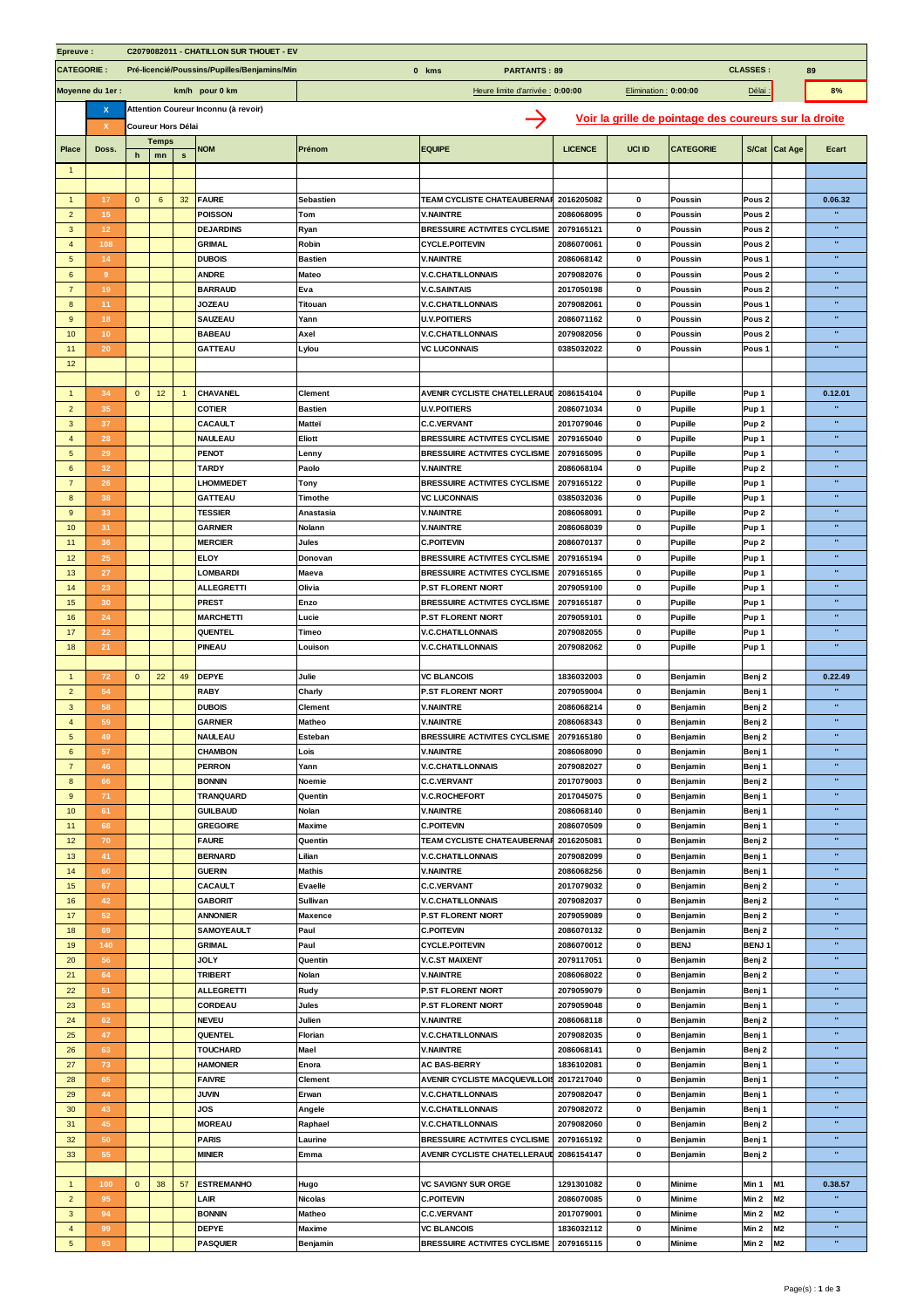| Epreuve :<br>C2079082011 - CHATILLON SUR THOUET - EV |                 |              |              |                    |                                               |                                  |                                                         |                |                       |                                                       |                   |                |              |
|------------------------------------------------------|-----------------|--------------|--------------|--------------------|-----------------------------------------------|----------------------------------|---------------------------------------------------------|----------------|-----------------------|-------------------------------------------------------|-------------------|----------------|--------------|
| <b>CATEGORIE:</b>                                    |                 |              |              |                    | Pré-licencié/Poussins/Pupilles/Benjamins/Mini | 0 kms<br><b>PARTANTS: 89</b>     |                                                         |                | <b>CLASSES:</b><br>89 |                                                       |                   |                |              |
| Moyenne du 1er :                                     |                 |              |              |                    | km/h pour 0 km                                | Heure limite d'arrivée : 0:00:00 |                                                         |                |                       | 8%                                                    |                   |                |              |
|                                                      |                 |              |              |                    |                                               | Elimination: 0:00:00             |                                                         |                |                       |                                                       | Délai :           |                |              |
|                                                      | x               |              |              |                    | Attention Coureur Inconnu (à revoir)          |                                  |                                                         |                |                       | Voir la grille de pointage des coureurs sur la droite |                   |                |              |
|                                                      | х               |              |              | Coureur Hors Délai |                                               |                                  |                                                         |                |                       |                                                       |                   |                |              |
| <b>Place</b>                                         | Doss.           |              | <b>Temps</b> |                    | <b>NOM</b>                                    | Prénom                           | <b>EQUIPE</b>                                           | <b>LICENCE</b> | UCI ID                | <b>CATEGORIE</b>                                      |                   | S/Cat Cat Age  | Ecart        |
|                                                      |                 | h            | mn           | $\mathbf{s}$       |                                               |                                  |                                                         |                |                       |                                                       |                   |                |              |
| -1                                                   |                 |              |              |                    |                                               |                                  |                                                         |                |                       |                                                       |                   |                |              |
| $\mathbf{1}$                                         | 17              | $\mathbf 0$  | 6            | 32                 | <b>FAURE</b>                                  | <b>Sebastien</b>                 | <b>TEAM CYCLISTE CHATEAUBERNAR</b>                      | 2016205082     | $\mathbf{0}$          | Poussin                                               | Pous <sub>2</sub> |                | 0.06.32      |
|                                                      |                 |              |              |                    |                                               |                                  |                                                         |                |                       |                                                       |                   |                | $\mathbf{u}$ |
| $\overline{2}$                                       | 15              |              |              |                    | POISSON                                       | Tom                              | <b>V.NAINTRE</b>                                        | 2086068095     | 0                     | Poussin                                               | Pous <sub>2</sub> |                | $\mathbf{u}$ |
| 3                                                    | 12              |              |              |                    | <b>DEJARDINS</b>                              | Ryan                             | <b>BRESSUIRE ACTIVITES CYCLISME</b>                     | 2079165121     | 0                     | Poussin                                               | Pous <sub>2</sub> |                |              |
| $\overline{4}$                                       | 108             |              |              |                    | <b>GRIMAL</b>                                 | Robin                            | <b>CYCLE.POITEVIN</b>                                   | 2086070061     | $\mathbf 0$           | Poussin                                               | Pous <sub>2</sub> |                | $\mathbf{u}$ |
| $5\phantom{.0}$                                      | 14              |              |              |                    | <b>DUBOIS</b>                                 | <b>Bastien</b>                   | <b>V.NAINTRE</b>                                        | 2086068142     | 0                     | Poussin                                               | Pous <sub>1</sub> |                | $\mathbf{u}$ |
| 6                                                    | 9               |              |              |                    | <b>ANDRE</b>                                  | Mateo                            | <b>V.C.CHATILLONNAIS</b>                                | 2079082076     | $\bf{0}$              | Poussin                                               | Pous <sub>2</sub> |                | $\mathbf{u}$ |
| $\overline{7}$                                       | 19              |              |              |                    | <b>BARRAUD</b>                                | Eva                              | <b>V.C.SAINTAIS</b>                                     | 2017050198     | $\mathbf 0$           | Poussin                                               | Pous <sub>2</sub> |                | $\mathbf{u}$ |
| 8                                                    | 11              |              |              |                    | <b>JOZEAU</b>                                 | Titouan                          | <b>V.C.CHATILLONNAIS</b>                                | 2079082061     | 0                     | Poussin                                               | Pous <sub>1</sub> |                | $\mathbf{u}$ |
| 9                                                    | 18              |              |              |                    | <b>SAUZEAU</b>                                | Yann                             | <b>U.V.POITIERS</b>                                     | 2086071162     | $\mathbf 0$           | Poussin                                               | Pous <sub>2</sub> |                | $\mathbf{u}$ |
| 10                                                   | 10 <sup>°</sup> |              |              |                    | <b>BABEAU</b>                                 | Axel                             | <b>V.C.CHATILLONNAIS</b>                                | 2079082056     | $\pmb{0}$             | <b>Poussin</b>                                        | Pous <sub>2</sub> |                | $\mathbf{u}$ |
| 11                                                   | 20              |              |              |                    | <b>GATTEAU</b>                                | Lylou                            | <b>VC LUCONNAIS</b>                                     | 0385032022     | $\mathbf 0$           | Poussin                                               | Pous <sub>1</sub> |                | ×            |
| 12                                                   |                 |              |              |                    |                                               |                                  |                                                         |                |                       |                                                       |                   |                |              |
|                                                      |                 |              |              |                    |                                               |                                  |                                                         |                |                       |                                                       |                   |                |              |
| $\mathbf{1}$                                         | 34              | $\mathbf 0$  | 12           |                    | <b>CHAVANEL</b>                               | <b>Clement</b>                   | AVENIR CYCLISTE CHATELLERAUI                            | 2086154104     | $\mathbf 0$           | <b>Pupille</b>                                        | Pup 1             |                | 0.12.01      |
| $\overline{2}$                                       | 35              |              |              |                    | <b>COTIER</b>                                 | <b>Bastien</b>                   | <b>U.V.POITIERS</b>                                     | 2086071034     | 0                     | <b>Pupille</b>                                        | Pup 1             |                |              |
| $\overline{3}$                                       | 37              |              |              |                    | CACAULT                                       | Matteï                           | <b>C.C.VERVANT</b>                                      | 2017079046     | $\mathbf{0}$          | <b>Pupille</b>                                        | Pup <sub>2</sub>  |                | $\mathbf{u}$ |
| $\overline{a}$                                       | 28              |              |              |                    | <b>NAULEAU</b>                                | Eliott                           | <b>BRESSUIRE ACTIVITES CYCLISME</b>                     | 2079165040     | $\mathbf 0$           | <b>Pupille</b>                                        | Pup 1             |                | $\mathbf{u}$ |
|                                                      |                 |              |              |                    |                                               |                                  |                                                         | 2079165095     | $\mathbf{0}$          |                                                       |                   |                | $\mathbf{u}$ |
| 5                                                    | 29              |              |              |                    | PENOT                                         | Lenny                            | <b>BRESSUIRE ACTIVITES CYCLISME</b><br><b>V.NAINTRE</b> |                |                       | Pupille                                               | Pup 1             |                | $\mathbf{u}$ |
| $6\phantom{a}$                                       | 32              |              |              |                    | <b>TARDY</b>                                  | Paolo                            |                                                         | 2086068104     | $\mathbf 0$           | <b>Pupille</b>                                        | Pup <sub>2</sub>  |                | $\mathbf{u}$ |
| $\overline{7}$                                       | 26              |              |              |                    | <b>LHOMMEDET</b>                              | Tony                             | <b>BRESSUIRE ACTIVITES CYCLISME</b>                     | 2079165122     | 0                     | <b>Pupille</b>                                        | Pup 1             |                |              |
| 8                                                    | 38              |              |              |                    | <b>GATTEAU</b>                                | Timothe                          | <b>VC LUCONNAIS</b>                                     | 0385032036     | $\bf{0}$              | <b>Pupille</b>                                        | Pup 1             |                | $\mathbf{u}$ |
| $\overline{9}$                                       | 33              |              |              |                    | <b>TESSIER</b>                                | Anastasia                        | <b>V.NAINTRE</b>                                        | 2086068091     | $\mathbf 0$           | <b>Pupille</b>                                        | Pup <sub>2</sub>  |                | $\mathbf{u}$ |
| 10                                                   | 31              |              |              |                    | <b>GARNIER</b>                                | Nolann                           | <b>V.NAINTRE</b>                                        | 2086068039     | $\mathbf{0}$          | Pupille                                               | Pup 1             |                | $\mathbf{u}$ |
| 11                                                   | 36              |              |              |                    | <b>MERCIER</b>                                | Jules                            | <b>C.POITEVIN</b>                                       | 2086070137     | $\mathbf 0$           | <b>Pupille</b>                                        | Pup <sub>2</sub>  |                | $\mathbf{u}$ |
| 12                                                   | 25              |              |              |                    | <b>ELOY</b>                                   | Donovan                          | <b>BRESSUIRE ACTIVITES CYCLISME</b>                     | 2079165194     | 0                     | <b>Pupille</b>                                        | Pup 1             |                | $\mathbf{u}$ |
| 13                                                   | 27              |              |              |                    | <b>LOMBARDI</b>                               | Maeva                            | <b>BRESSUIRE ACTIVITES CYCLISME</b>                     | 2079165165     | $\bf{0}$              | <b>Pupille</b>                                        | Pup 1             |                | $\mathbf{u}$ |
| 14                                                   | 23              |              |              |                    | <b>ALLEGRETTI</b>                             | Olivia                           | P.ST FLORENT NIORT                                      | 2079059100     | $\mathbf 0$           | <b>Pupille</b>                                        | Pup 1             |                | $\alpha$     |
| 15                                                   | 30              |              |              |                    | <b>PREST</b>                                  | Enzo                             | <b>BRESSUIRE ACTIVITES CYCLISME</b>                     | 2079165187     | $\mathbf{0}$          | Pupille                                               | Pup 1             |                | $\mathbf{u}$ |
| 16                                                   | 24              |              |              |                    | <b>MARCHETTI</b>                              | Lucie                            | P.ST FLORENT NIORT                                      | 2079059101     | $\mathbf 0$           | <b>Pupille</b>                                        | Pup 1             |                | $\mathbf{u}$ |
| 17                                                   | 22              |              |              |                    | QUENTEL                                       | Timeo                            | <b>V.C.CHATILLONNAIS</b>                                | 2079082055     | 0                     | <b>Pupille</b>                                        | Pup 1             |                | $\mathbf{u}$ |
| 18                                                   | 21              |              |              |                    | PINEAU                                        | Louison                          | <b>V.C.CHATILLONNAIS</b>                                | 2079082062     | $\mathbf 0$           | <b>Pupille</b>                                        | Pup 1             |                | ×            |
|                                                      |                 |              |              |                    |                                               |                                  |                                                         |                |                       |                                                       |                   |                |              |
| $\mathbf{1}$                                         | 72              | $\mathbf{0}$ | 22           | 49                 | <b>DEPYE</b>                                  | Julie                            | <b>VC BLANCOIS</b>                                      | 1836032003     | 0                     | Benjamin                                              | Benj 2            |                | 0.22.49      |
| $\overline{2}$                                       | 54              |              |              |                    | <b>RABY</b>                                   | Charly                           | P.ST FLORENT NIORT                                      | 2079059004     | $\mathbf 0$           | Benjamin                                              | Benj 1            |                |              |
| 3                                                    | 58              |              |              |                    | <b>DUBOIS</b>                                 | <b>Clement</b>                   | <b>V.NAINTRE</b>                                        | 2086068214     | 0                     | Benjamin                                              | Benj 2            |                | $\mathbf{u}$ |
| $\overline{4}$                                       | 59              |              |              |                    | <b>GARNIER</b>                                | Matheo                           | <b>V.NAINTRE</b>                                        | 2086068343     | $\mathbf 0$           |                                                       |                   |                | $\mathbf{u}$ |
| 5                                                    | 49              |              |              |                    | <b>NAULEAU</b>                                |                                  | <b>BRESSUIRE ACTIVITES CYCLISME</b>                     | 2079165180     | $\mathbf 0$           | <b>Benjamin</b>                                       | Benj 2            |                | $\mathbf{u}$ |
|                                                      |                 |              |              |                    |                                               | Esteban                          | <b>V.NAINTRE</b>                                        |                |                       | <b>Benjamin</b>                                       | Benj 2            |                |              |
| 6                                                    | 57              |              |              |                    | <b>CHAMBON</b>                                | Lois                             |                                                         | 2086068090     | 0                     | <b>Benjamin</b>                                       | Benj 1            |                | $\alpha$     |
| $\overline{7}$                                       | 46              |              |              |                    | <b>PERRON</b>                                 | Yann                             | <b>V.C.CHATILLONNAIS</b>                                | 2079082027     | $\pmb{0}$             | Benjamin                                              | Benj 1            |                | $\mathbf{u}$ |
| $\boldsymbol{8}$                                     | 66              |              |              |                    | <b>BONNIN</b>                                 | Noemie                           | <b>C.C.VERVANT</b>                                      | 2017079003     | 0                     | Benjamin                                              | Benj 2            |                |              |
| 9                                                    | 71              |              |              |                    | TRANQUARD                                     | Quentin                          | <b>V.C.ROCHEFORT</b>                                    | 2017045075     | $\pmb{0}$             | Benjamin                                              | Benj 1            |                | $\mathbf{u}$ |
| 10                                                   | 61              |              |              |                    | <b>GUILBAUD</b>                               | Nolan                            | <b>V.NAINTRE</b>                                        | 2086068140     | 0                     | Benjamin                                              | Benj 1            |                | $\mathbf{u}$ |
| 11                                                   | 68              |              |              |                    | <b>GREGOIRE</b>                               | <b>Maxime</b>                    | <b>C.POITEVIN</b>                                       | 2086070509     | 0                     | Benjamin                                              | Benj 1            |                | $\mathbf{u}$ |
| 12                                                   | 70              |              |              |                    | <b>FAURE</b>                                  | Quentin                          | TEAM CYCLISTE CHATEAUBERNA                              | 2016205081     | $\pmb{0}$             | Benjamin                                              | Benj 2            |                | $\mathbf{u}$ |
| 13                                                   | 41              |              |              |                    | <b>BERNARD</b>                                | Lilian                           | <b>V.C.CHATILLONNAIS</b>                                | 2079082099     | 0                     | Benjamin                                              | Benj 1            |                | $\mathbf{u}$ |
| 14                                                   | 60              |              |              |                    | <b>GUERIN</b>                                 | <b>Mathis</b>                    | <b>V.NAINTRE</b>                                        | 2086068256     | $\pmb{0}$             | Benjamin                                              | Benj 1            |                | $\mathbf{u}$ |
| 15                                                   | 67              |              |              |                    | CACAULT                                       | <b>Evaelle</b>                   | <b>C.C.VERVANT</b>                                      | 2017079032     | 0                     | Benjamin                                              | Benj 2            |                | $\mathbf{u}$ |
| 16                                                   | 42              |              |              |                    | <b>GABORIT</b>                                | Sullivan                         | <b>V.C.CHATILLONNAIS</b>                                | 2079082037     | 0                     | Benjamin                                              | Benj 2            |                | u,           |
| 17                                                   | 52              |              |              |                    | <b>ANNONIER</b>                               | <b>Maxence</b>                   | P.ST FLORENT NIORT                                      | 2079059089     | $\pmb{0}$             | Benjamin                                              | Benj 2            |                | $\mathbf{u}$ |
| 18                                                   | 69              |              |              |                    | <b>SAMOYEAULT</b>                             | Paul                             | <b>C.POITEVIN</b>                                       | 2086070132     | 0                     | Benjamin                                              | Benj 2            |                | $\mathbf{u}$ |
| 19                                                   | 140             |              |              |                    | <b>GRIMAL</b>                                 | Paul                             | <b>CYCLE.POITEVIN</b>                                   | 2086070012     | $\pmb{0}$             | <b>BENJ</b>                                           | <b>BENJ1</b>      |                | $\mathbf{u}$ |
| 20                                                   | 56              |              |              |                    | JOLY                                          | Quentin                          | <b>V.C.ST MAIXENT</b>                                   | 2079117051     | 0                     | Benjamin                                              | Benj 2            |                | $\alpha$     |
| 21                                                   | 64              |              |              |                    | <b>TRIBERT</b>                                | Nolan                            | <b>V.NAINTRE</b>                                        | 2086068022     | 0                     | Benjamin                                              | Benj 2            |                | $\mathbf{u}$ |
| 22                                                   | 51              |              |              |                    | <b>ALLEGRETTI</b>                             | Rudy                             | P.ST FLORENT NIORT                                      | 2079059079     | $\pmb{0}$             | Benjamin                                              | Benj 1            |                | $\mathbf{u}$ |
|                                                      |                 |              |              |                    |                                               |                                  |                                                         |                |                       |                                                       |                   |                | $\mathbf{u}$ |
| 23                                                   | 53              |              |              |                    | CORDEAU                                       | Jules                            | P.ST FLORENT NIORT                                      | 2079059048     | 0                     | Benjamin                                              | Benj 1            |                | $\mathbf{u}$ |
| 24                                                   | 62              |              |              |                    | <b>NEVEU</b>                                  | Julien                           | <b>V.NAINTRE</b>                                        | 2086068118     | $\pmb{0}$             | Benjamin                                              | Benj 2            |                | $\alpha$     |
| 25                                                   | 47              |              |              |                    | QUENTEL                                       | Florian                          | <b>V.C.CHATILLONNAIS</b>                                | 2079082035     | $\mathbf 0$           | Benjamin                                              | Benj1             |                |              |
| 26                                                   | 63              |              |              |                    | <b>TOUCHARD</b>                               | Mael                             | <b>V.NAINTRE</b>                                        | 2086068141     | 0                     | Benjamin                                              | Benj 2            |                | u,           |
| 27                                                   | 73              |              |              |                    | <b>HAMONIER</b>                               | Enora                            | <b>AC BAS-BERRY</b>                                     | 1836102081     | $\pmb{0}$             | Benjamin                                              | Benj 1            |                | $\mathbf{u}$ |
| 28                                                   | 65              |              |              |                    | <b>FAIVRE</b>                                 | Clement                          | <b>AVENIR CYCLISTE MACQUEVILLOIS</b>                    | 2017217040     | 0                     | Benjamin                                              | Benj 1            |                | $\mathbf{u}$ |
| 29                                                   | 44              |              |              |                    | <b>JUVIN</b>                                  | Erwan                            | <b>V.C.CHATILLONNAIS</b>                                | 2079082047     | $\pmb{0}$             | Benjamin                                              | Benj 1            |                | $\mathbf{u}$ |
| 30                                                   | 43              |              |              |                    | JOS                                           | Angele                           | <b>V.C.CHATILLONNAIS</b>                                | 2079082072     | 0                     | Benjamin                                              | Benj 1            |                | $\mathbf{u}$ |
| 31                                                   | 45              |              |              |                    | <b>MOREAU</b>                                 | Raphael                          | <b>V.C.CHATILLONNAIS</b>                                | 2079082060     | $\pmb{0}$             | Benjamin                                              | Benj 2            |                | u,           |
| 32                                                   | 50              |              |              |                    | <b>PARIS</b>                                  | Laurine                          | <b>BRESSUIRE ACTIVITES CYCLISME</b>                     | 2079165192     | $\pmb{0}$             | <b>Benjamin</b>                                       | Benj 1            |                | $\mathbf{u}$ |
| 33                                                   | 55              |              |              |                    | <b>MINIER</b>                                 | Emma                             | AVENIR CYCLISTE CHATELLERAUI                            | 2086154147     | 0                     | Benjamin                                              | Benj 2            |                | $\mathbf{u}$ |
|                                                      |                 |              |              |                    |                                               |                                  |                                                         |                |                       |                                                       |                   |                |              |
| $\overline{1}$                                       | 100             | $\mathbf 0$  | 38           | 57                 | <b>ESTREMANHO</b>                             | Hugo                             | <b>VC SAVIGNY SUR ORGE</b>                              | 1291301082     | 0                     | <b>Minime</b>                                         | Min 1             | M1             | 0.38.57      |
| $\overline{2}$                                       | 95              |              |              |                    | LAIR                                          | Nicolas                          | <b>C.POITEVIN</b>                                       | 2086070085     | 0                     | <b>Minime</b>                                         | Min 2             | M <sub>2</sub> |              |
| $\mathbf{3}$                                         | 94              |              |              |                    | <b>BONNIN</b>                                 | Matheo                           | <b>C.C.VERVANT</b>                                      | 2017079001     | $\pmb{0}$             | <b>Minime</b>                                         | Min 2             | M2             | $\mathbf{u}$ |
| $\overline{4}$                                       | 99              |              |              |                    | <b>DEPYE</b>                                  | Maxime                           | <b>VC BLANCOIS</b>                                      | 1836032112     | 0                     | <b>Minime</b>                                         | Min 2             | M2             | $\mathbf{u}$ |
|                                                      |                 |              |              |                    |                                               |                                  |                                                         |                |                       |                                                       |                   |                | $\mathbf{u}$ |
| $\sqrt{5}$                                           | 93              |              |              |                    | <b>PASQUIER</b>                               | Benjamin                         | <b>BRESSUIRE ACTIVITES CYCLISME</b>                     | 2079165115     | $\pmb{0}$             | <b>Minime</b>                                         | Min 2             | M2             |              |

 $\overline{\phantom{a}}$